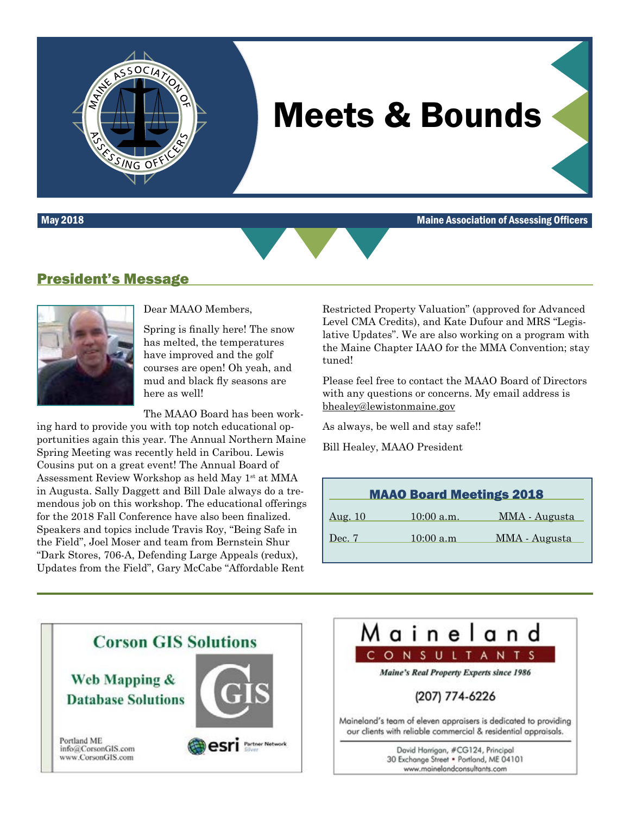

May 2018 Maine Association of Assessing Officers



#### President's Message

OCIATIO



Dear MAAO Members,

Spring is finally here! The snow has melted, the temperatures have improved and the golf courses are open! Oh yeah, and mud and black fly seasons are here as well!

The MAAO Board has been work-

ing hard to provide you with top notch educational opportunities again this year. The Annual Northern Maine Spring Meeting was recently held in Caribou. Lewis Cousins put on a great event! The Annual Board of Assessment Review Workshop as held May 1<sup>st</sup> at MMA in Augusta. Sally Daggett and Bill Dale always do a tremendous job on this workshop. The educational offerings for the 2018 Fall Conference have also been finalized. Speakers and topics include Travis Roy, "Being Safe in the Field", Joel Moser and team from Bernstein Shur "Dark Stores, 706-A, Defending Large Appeals (redux), Updates from the Field", Gary McCabe "Affordable Rent

Restricted Property Valuation" (approved for Advanced Level CMA Credits), and Kate Dufour and MRS "Legislative Updates". We are also working on a program with the Maine Chapter IAAO for the MMA Convention; stay tuned!

Please feel free to contact the MAAO Board of Directors with any questions or concerns. My email address is [bhealey@lewistonmaine.gov](mailto:bhealey@lewistonmaine.gov)

As always, be well and stay safe!!

Bill Healey, MAAO President

| <b>MAAO Board Meetings 2018</b> |              |               |  |
|---------------------------------|--------------|---------------|--|
| <u>Aug. 10</u>                  | $10:00$ a.m. | MMA - Augusta |  |
| Dec. 7                          | 10:00 a.m    | MMA - Augusta |  |

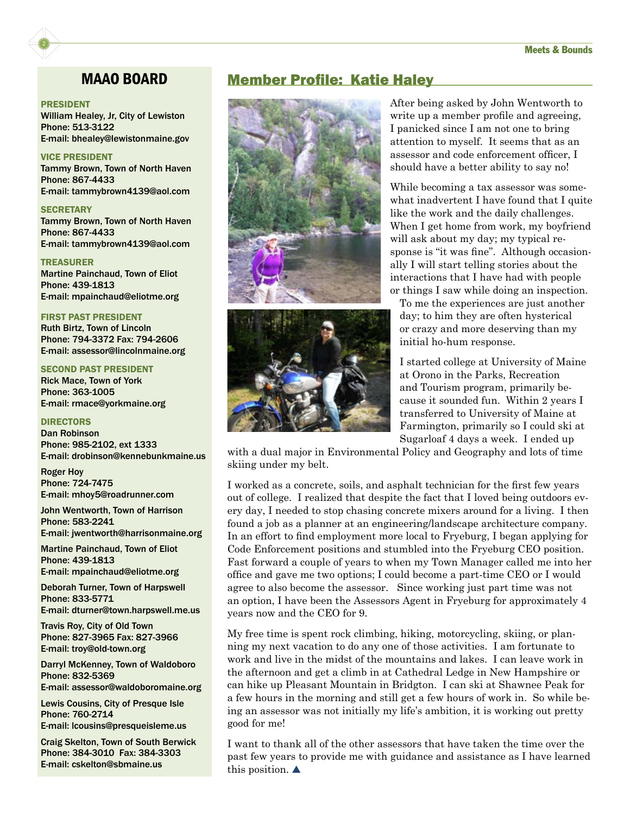#### PRESIDENT

2

William Healey, Jr, City of Lewiston Phone: 513-3122 E-mail: bhealey@lewistonmaine.gov

#### VICE PRESIDENT

Tammy Brown, Town of North Haven Phone: 867-4433 E-mail: tammybrown4139@aol.com

#### **SECRETARY**

Tammy Brown, Town of North Haven Phone: 867-4433 E-mail: tammybrown4139@aol.com

TREASURER Martine Painchaud, Town of Eliot Phone: 439-1813 E-mail: mpainchaud@eliotme.org

#### FIRST PAST PRESIDENT

Ruth Birtz, Town of Lincoln Phone: 794-3372 Fax: 794-2606 E-mail: assessor@lincolnmaine.org

#### SECOND PAST PRESIDENT

Rick Mace, Town of York Phone: 363-1005 E-mail: rmace@yorkmaine.org

#### DIRECTORS

Dan Robinson Phone: 985-2102, ext 1333 E-mail: drobinson@kennebunkmaine.us

Roger Hoy Phone: 724-7475 E-mail: mhoy5@roadrunner.com

John Wentworth, Town of Harrison Phone: 583-2241 E-mail: jwentworth@harrisonmaine.org

Martine Painchaud, Town of Eliot Phone: 439-1813

E-mail: mpainchaud@eliotme.org

Deborah Turner, Town of Harpswell Phone: 833-5771 E-mail: dturner@town.harpswell.me.us

Travis Roy, City of Old Town Phone: 827-3965 Fax: 827-3966 E-mail: troy@old-town.org

Darryl McKenney, Town of Waldoboro Phone: 832-5369 E-mail: assessor@waldoboromaine.org

Lewis Cousins, City of Presque Isle Phone: 760-2714 E-mail: lcousins@presqueisleme.us

Craig Skelton, Town of South Berwick Phone: 384-3010 Fax: 384-3303 E-mail: cskelton@sbmaine.us

#### MAAO BOARD Member Profile: Katie Haley





After being asked by John Wentworth to write up a member profile and agreeing, I panicked since I am not one to bring attention to myself. It seems that as an assessor and code enforcement officer, I should have a better ability to say no!

While becoming a tax assessor was somewhat inadvertent I have found that I quite like the work and the daily challenges. When I get home from work, my boyfriend will ask about my day; my typical response is "it was fine". Although occasionally I will start telling stories about the interactions that I have had with people or things I saw while doing an inspection.

To me the experiences are just another day; to him they are often hysterical or crazy and more deserving than my initial ho-hum response.

I started college at University of Maine at Orono in the Parks, Recreation and Tourism program, primarily because it sounded fun. Within 2 years I transferred to University of Maine at Farmington, primarily so I could ski at Sugarloaf 4 days a week. I ended up

with a dual major in Environmental Policy and Geography and lots of time skiing under my belt.

I worked as a concrete, soils, and asphalt technician for the first few years out of college. I realized that despite the fact that I loved being outdoors every day, I needed to stop chasing concrete mixers around for a living. I then found a job as a planner at an engineering/landscape architecture company. In an effort to find employment more local to Fryeburg, I began applying for Code Enforcement positions and stumbled into the Fryeburg CEO position. Fast forward a couple of years to when my Town Manager called me into her office and gave me two options; I could become a part-time CEO or I would agree to also become the assessor. Since working just part time was not an option, I have been the Assessors Agent in Fryeburg for approximately 4 years now and the CEO for 9.

My free time is spent rock climbing, hiking, motorcycling, skiing, or planning my next vacation to do any one of those activities. I am fortunate to work and live in the midst of the mountains and lakes. I can leave work in the afternoon and get a climb in at Cathedral Ledge in New Hampshire or can hike up Pleasant Mountain in Bridgton. I can ski at Shawnee Peak for a few hours in the morning and still get a few hours of work in. So while being an assessor was not initially my life's ambition, it is working out pretty good for me!

I want to thank all of the other assessors that have taken the time over the past few years to provide me with guidance and assistance as I have learned this position.  $\blacktriangle$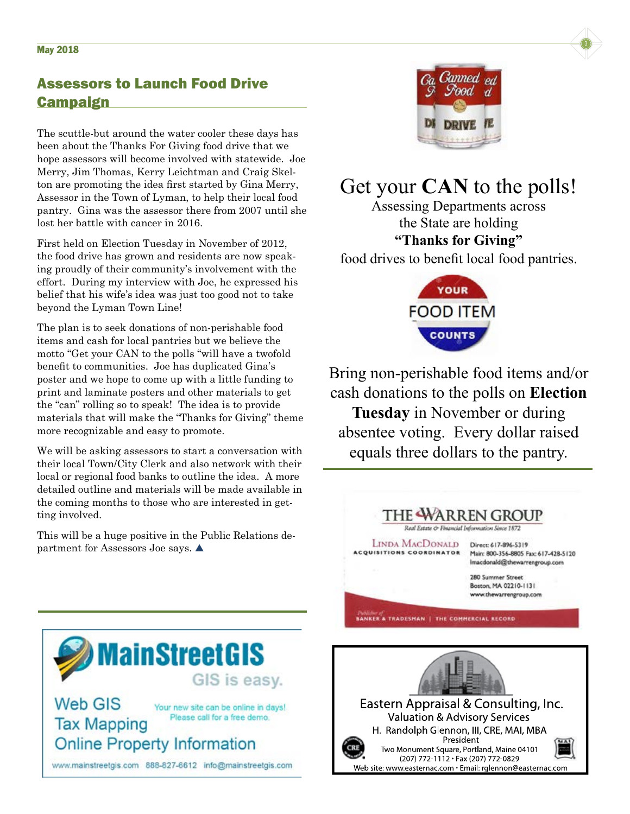### Assessors to Launch Food Drive **Campaign**

The scuttle-but around the water cooler these days has been about the Thanks For Giving food drive that we hope assessors will become involved with statewide. Joe Merry, Jim Thomas, Kerry Leichtman and Craig Skelton are promoting the idea first started by Gina Merry, Assessor in the Town of Lyman, to help their local food pantry. Gina was the assessor there from 2007 until she lost her battle with cancer in 2016.

First held on Election Tuesday in November of 2012, the food drive has grown and residents are now speaking proudly of their community's involvement with the effort. During my interview with Joe, he expressed his belief that his wife's idea was just too good not to take beyond the Lyman Town Line!

The plan is to seek donations of non-perishable food items and cash for local pantries but we believe the motto "Get your CAN to the polls "will have a twofold benefit to communities. Joe has duplicated Gina's poster and we hope to come up with a little funding to print and laminate posters and other materials to get the "can" rolling so to speak! The idea is to provide materials that will make the "Thanks for Giving" theme more recognizable and easy to promote.

We will be asking assessors to start a conversation with their local Town/City Clerk and also network with their local or regional food banks to outline the idea. A more detailed outline and materials will be made available in the coming months to those who are interested in getting involved.

This will be a huge positive in the Public Relations department for Assessors Joe says.



## Get your **CAN** to the polls!

Assessing Departments across the State are holding **"Thanks for Giving"** food drives to benefit local food pantries.



Bring non-perishable food items and/or cash donations to the polls on **Election Tuesday** in November or during absentee voting. Every dollar raised equals three dollars to the pantry.





H. Randolph Glennon, III, CRE, MAI, MBA President Two Monument Square, Portland, Maine 04101 (207) 772-1112 · Fax (207) 772-0829 Web site: www.easternac.com · Email: rglennon@easternac.com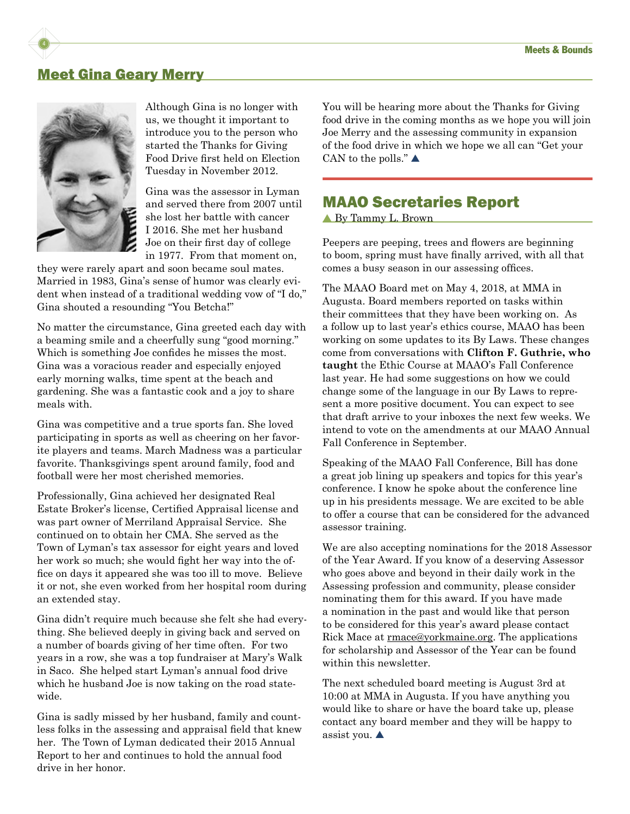#### Meet Gina Geary Merry



Although Gina is no longer with us, we thought it important to introduce you to the person who started the Thanks for Giving Food Drive first held on Election Tuesday in November 2012.

Gina was the assessor in Lyman and served there from 2007 until she lost her battle with cancer I 2016. She met her husband Joe on their first day of college in 1977. From that moment on,

they were rarely apart and soon became soul mates. Married in 1983, Gina's sense of humor was clearly evident when instead of a traditional wedding vow of "I do," Gina shouted a resounding "You Betcha!"

No matter the circumstance, Gina greeted each day with a beaming smile and a cheerfully sung "good morning." Which is something Joe confides he misses the most. Gina was a voracious reader and especially enjoyed early morning walks, time spent at the beach and gardening. She was a fantastic cook and a joy to share meals with.

Gina was competitive and a true sports fan. She loved participating in sports as well as cheering on her favorite players and teams. March Madness was a particular favorite. Thanksgivings spent around family, food and football were her most cherished memories.

Professionally, Gina achieved her designated Real Estate Broker's license, Certified Appraisal license and was part owner of Merriland Appraisal Service. She continued on to obtain her CMA. She served as the Town of Lyman's tax assessor for eight years and loved her work so much; she would fight her way into the office on days it appeared she was too ill to move. Believe it or not, she even worked from her hospital room during an extended stay.

Gina didn't require much because she felt she had everything. She believed deeply in giving back and served on a number of boards giving of her time often. For two years in a row, she was a top fundraiser at Mary's Walk in Saco. She helped start Lyman's annual food drive which he husband Joe is now taking on the road statewide.

Gina is sadly missed by her husband, family and countless folks in the assessing and appraisal field that knew her. The Town of Lyman dedicated their 2015 Annual Report to her and continues to hold the annual food drive in her honor.

You will be hearing more about the Thanks for Giving food drive in the coming months as we hope you will join Joe Merry and the assessing community in expansion of the food drive in which we hope we all can "Get your CAN to the polls." $\blacktriangle$ 

#### MAAO Secretaries Report

▲ By Tammy L. Brown

Peepers are peeping, trees and flowers are beginning to boom, spring must have finally arrived, with all that comes a busy season in our assessing offices.

The MAAO Board met on May 4, 2018, at MMA in Augusta. Board members reported on tasks within their committees that they have been working on. As a follow up to last year's ethics course, MAAO has been working on some updates to its By Laws. These changes come from conversations with **Clifton F. Guthrie, who taught** the Ethic Course at MAAO's Fall Conference last year. He had some suggestions on how we could change some of the language in our By Laws to represent a more positive document. You can expect to see that draft arrive to your inboxes the next few weeks. We intend to vote on the amendments at our MAAO Annual Fall Conference in September.

Speaking of the MAAO Fall Conference, Bill has done a great job lining up speakers and topics for this year's conference. I know he spoke about the conference line up in his presidents message. We are excited to be able to offer a course that can be considered for the advanced assessor training.

We are also accepting nominations for the 2018 Assessor of the Year Award. If you know of a deserving Assessor who goes above and beyond in their daily work in the Assessing profession and community, please consider nominating them for this award. If you have made a nomination in the past and would like that person to be considered for this year's award please contact Rick Mace at [rmace@yorkmaine.org](mailto:rmace@yorkmaine.org). The applications for scholarship and Assessor of the Year can be found within this newsletter.

The next scheduled board meeting is August 3rd at 10:00 at MMA in Augusta. If you have anything you would like to share or have the board take up, please contact any board member and they will be happy to assist you.  $\triangle$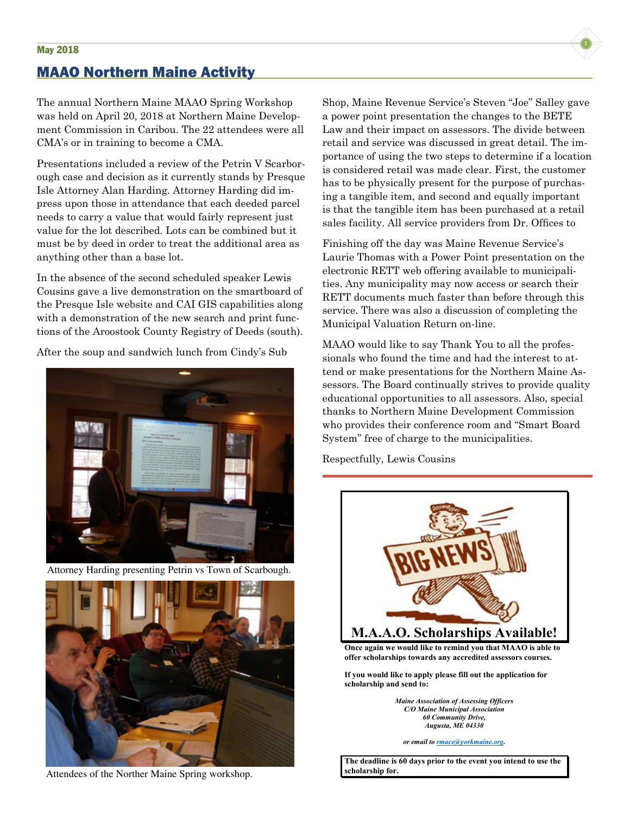### MAAO Northern Maine Activity

The annual Northern Maine MAAO Spring Workshop was held on April 20, 2018 at Northern Maine Development Commission in Caribou. The 22 attendees were all CMA's or in training to become a CMA.

Presentations included a review of the Petrin V Scarborough case and decision as it currently stands by Presque Isle Attorney Alan Harding. Attorney Harding did impress upon those in attendance that each deeded parcel needs to carry a value that would fairly represent just value for the lot described. Lots can be combined but it must be by deed in order to treat the additional area as anything other than a base lot.

In the absence of the second scheduled speaker Lewis Cousins gave a live demonstration on the smartboard of the Presque Isle website and CAI GIS capabilities along with a demonstration of the new search and print functions of the Aroostook County Registry of Deeds (south).

After the soup and sandwich lunch from Cindy's Sub



Attorney Harding presenting Petrin vs Town of Scarbough.



Attendees of the Norther Maine Spring workshop.

Shop, Maine Revenue Service's Steven "Joe" Salley gave a power point presentation the changes to the BETE Law and their impact on assessors. The divide between retail and service was discussed in great detail. The importance of using the two steps to determine if a location is considered retail was made clear. First, the customer has to be physically present for the purpose of purchasing a tangible item, and second and equally important is that the tangible item has been purchased at a retail sales facility. All service providers from Dr. Offices to

Finishing off the day was Maine Revenue Service's Laurie Thomas with a Power Point presentation on the electronic RETT web offering available to municipalities. Any municipality may now access or search their RETT documents much faster than before through this service. There was also a discussion of completing the Municipal Valuation Return on-line.

MAAO would like to say Thank You to all the professionals who found the time and had the interest to attend or make presentations for the Northern Maine Assessors. The Board continually strives to provide quality educational opportunities to all assessors. Also, special thanks to Northern Maine Development Commission who provides their conference room and "Smart Board System" free of charge to the municipalities.

Respectfully, Lewis Cousins



**Once again we would like to remind you that MAAO is able to offer scholarships towards any accredited assessors courses.**

**If you would like to apply please fill out the application for scholarship and send to:**

> *Maine Association of Assessing Officers C/O Maine Municipal Association 60 Community Drive, Augusta, ME 04330*

*or email to rmace@yorkmaine.org.*

**The deadline is 60 days prior to the event you intend to use the scholarship for.**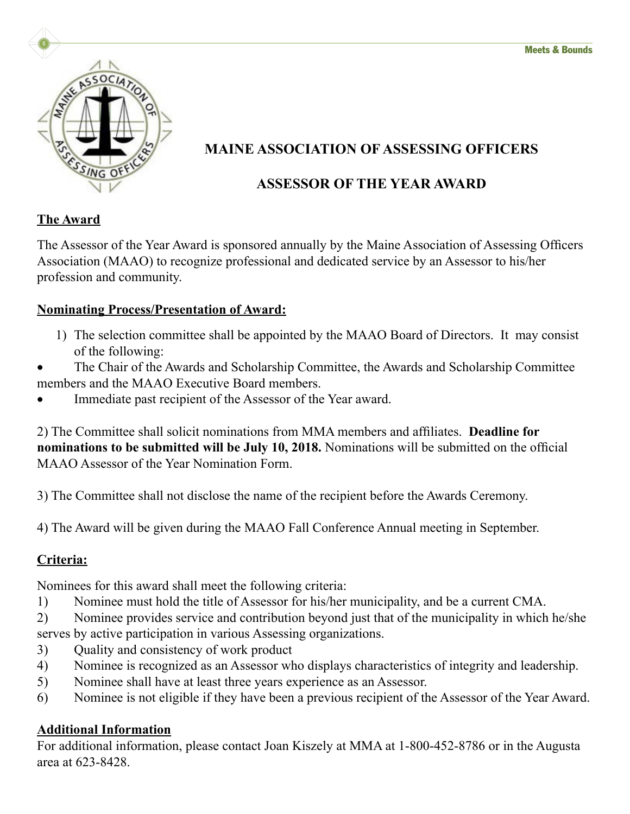

## **MAINE ASSOCIATION OF ASSESSING OFFICERS**

### **ASSESSOR OF THE YEAR AWARD**

### **The Award**

The Assessor of the Year Award is sponsored annually by the Maine Association of Assessing Officers Association (MAAO) to recognize professional and dedicated service by an Assessor to his/her profession and community.

### **Nominating Process/Presentation of Award:**

- 1) The selection committee shall be appointed by the MAAO Board of Directors. It may consist of the following:
- The Chair of the Awards and Scholarship Committee, the Awards and Scholarship Committee members and the MAAO Executive Board members.
- Immediate past recipient of the Assessor of the Year award.

2) The Committee shall solicit nominations from MMA members and affiliates. **Deadline for nominations to be submitted will be July 10, 2018.** Nominations will be submitted on the official MAAO Assessor of the Year Nomination Form.

3) The Committee shall not disclose the name of the recipient before the Awards Ceremony.

4) The Award will be given during the MAAO Fall Conference Annual meeting in September.

### **Criteria:**

Nominees for this award shall meet the following criteria:

- 1) Nominee must hold the title of Assessor for his/her municipality, and be a current CMA.
- 2) Nominee provides service and contribution beyond just that of the municipality in which he/she serves by active participation in various Assessing organizations.
- 3) Quality and consistency of work product
- 4) Nominee is recognized as an Assessor who displays characteristics of integrity and leadership.
- 5) Nominee shall have at least three years experience as an Assessor.
- 6) Nominee is not eligible if they have been a previous recipient of the Assessor of the Year Award.

### **Additional Information**

For additional information, please contact Joan Kiszely at MMA at 1-800-452-8786 or in the Augusta area at 623-8428.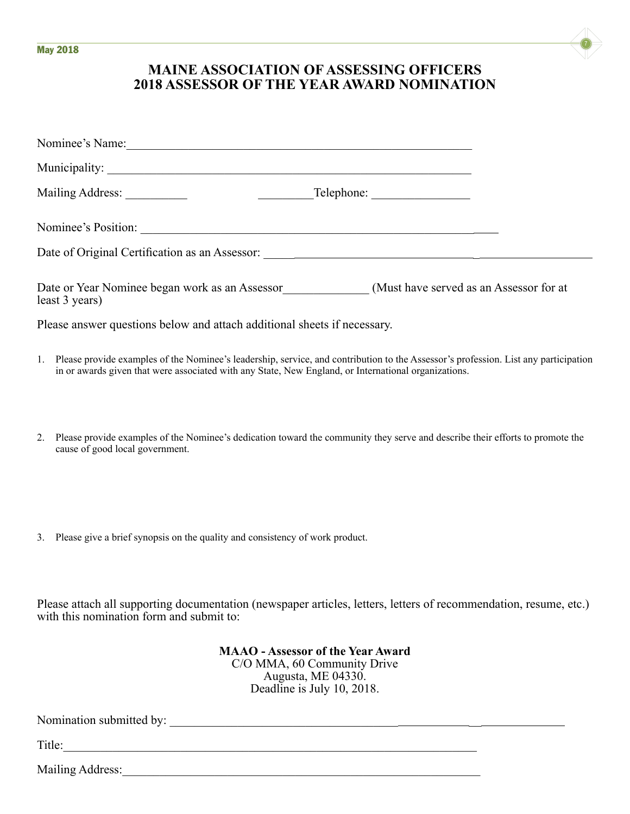

#### **MAINE ASSOCIATION OF ASSESSING OFFICERS 2018 ASSESSOR OF THE YEAR AWARD NOMINATION**

| Nominee's Name: 1988                                                                                                                                                                                                                           |  |
|------------------------------------------------------------------------------------------------------------------------------------------------------------------------------------------------------------------------------------------------|--|
|                                                                                                                                                                                                                                                |  |
|                                                                                                                                                                                                                                                |  |
| Nominee's Position:                                                                                                                                                                                                                            |  |
|                                                                                                                                                                                                                                                |  |
| Date or Year Nominee began work as an Assessor<br>(Must have served as an Assessor for at<br>least 3 years)                                                                                                                                    |  |
| Please answer questions below and attach additional sheets if necessary.                                                                                                                                                                       |  |
| 1. Please provide examples of the Nominee's leadership, service, and contribution to the Assessor's profession. List any participation<br>in or awards given that were associated with any State, New England, or International organizations. |  |
|                                                                                                                                                                                                                                                |  |

- 2. Please provide examples of the Nominee's dedication toward the community they serve and describe their efforts to promote the cause of good local government.
- 3. Please give a brief synopsis on the quality and consistency of work product.

Please attach all supporting documentation (newspaper articles, letters, letters of recommendation, resume, etc.) with this nomination form and submit to:

> **MAAO - Assessor of the Year Award** C/O MMA, 60 Community Drive Augusta, ME 04330. Deadline is July 10, 2018.

Nomination submitted by: \_\_\_\_\_\_\_\_\_\_\_\_\_\_\_\_\_\_\_\_\_\_\_\_\_\_\_\_\_\_\_\_\_\_\_\_\_ \_\_

Title:\_\_\_\_\_\_\_\_\_\_\_\_\_\_\_\_\_\_\_\_\_\_\_\_\_\_\_\_\_\_\_\_\_\_\_\_\_\_\_\_\_\_\_\_\_\_\_\_\_\_\_\_\_\_\_\_\_\_\_\_\_\_\_\_\_\_\_

Mailing Address:\_\_\_\_\_\_\_\_\_\_\_\_\_\_\_\_\_\_\_\_\_\_\_\_\_\_\_\_\_\_\_\_\_\_\_\_\_\_\_\_\_\_\_\_\_\_\_\_\_\_\_\_\_\_\_\_\_\_